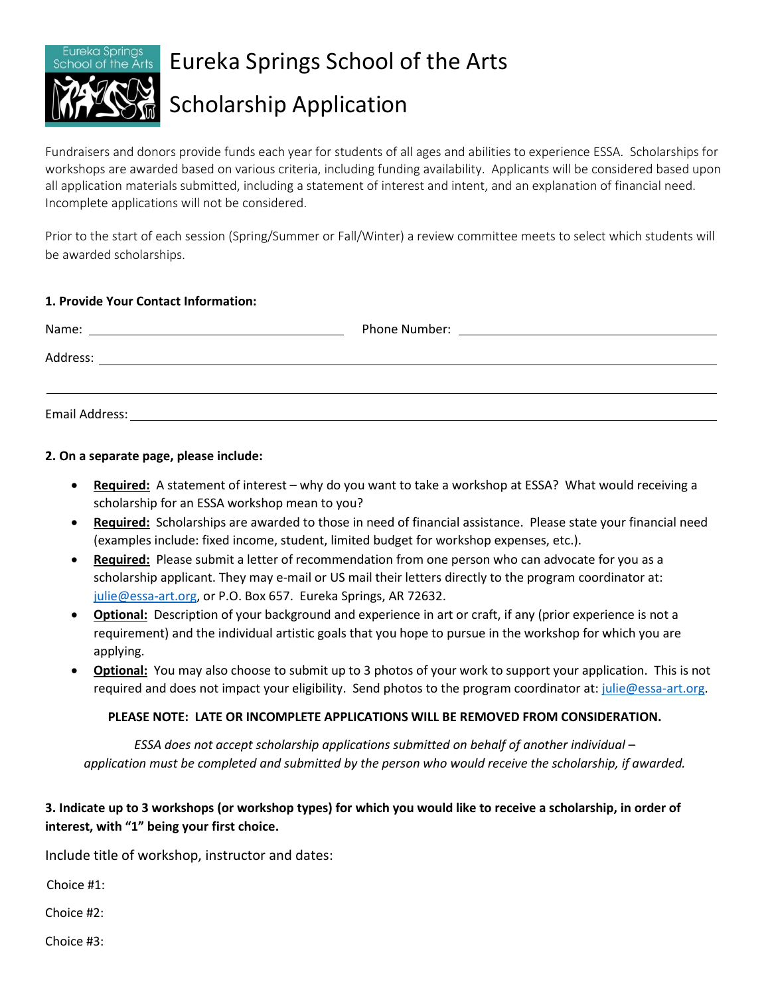

## Eureka Springs School of the Arts

# Scholarship Application

Fundraisers and donors provide funds each year for students of all ages and abilities to experience ESSA. Scholarships for workshops are awarded based on various criteria, including funding availability. Applicants will be considered based upon all application materials submitted, including a statement of interest and intent, and an explanation of financial need. Incomplete applications will not be considered.

Prior to the start of each session (Spring/Summer or Fall/Winter) a review committee meets to select which students will be awarded scholarships.

#### **1. Provide Your Contact Information:**

| Name:          | Phone Number:<br><u> 1980 - Jan Stein Stein Stein Stein Stein Stein Stein Stein Stein Stein Stein Stein Stein Stein Stein Stein S</u> |
|----------------|---------------------------------------------------------------------------------------------------------------------------------------|
| Address:       |                                                                                                                                       |
|                |                                                                                                                                       |
| Email Address: |                                                                                                                                       |

#### **2. On a separate page, please include:**

- **Required:** A statement of interest why do you want to take a workshop at ESSA? What would receiving a scholarship for an ESSA workshop mean to you?
- **Required:** Scholarships are awarded to those in need of financial assistance. Please state your financial need (examples include: fixed income, student, limited budget for workshop expenses, etc.).
- **Required:** Please submit a letter of recommendation from one person who can advocate for you as a scholarship applicant. They may e-mail or US mail their letters directly to the program coordinator at: [julie@essa-art.org,](mailto:julie@essa-art.org) or P.O. Box 657. Eureka Springs, AR 72632.
- **Optional:** Description of your background and experience in art or craft, if any (prior experience is not a requirement) and the individual artistic goals that you hope to pursue in the workshop for which you are applying.
- **Optional:** You may also choose to submit up to 3 photos of your work to support your application. This is not required and does not impact your eligibility. Send photos to the program coordinator at[: julie@essa-art.org.](mailto:julie@essa-art.org)

#### **PLEASE NOTE: LATE OR INCOMPLETE APPLICATIONS WILL BE REMOVED FROM CONSIDERATION.**

*ESSA does not accept scholarship applications submitted on behalf of another individual – application must be completed and submitted by the person who would receive the scholarship, if awarded.*

### **3. Indicate up to 3 workshops (or workshop types) for which you would like to receive a scholarship, in order of interest, with "1" being your first choice.**

Include title of workshop, instructor and dates:

Choice #1:

Choice #2:

Choice #3: